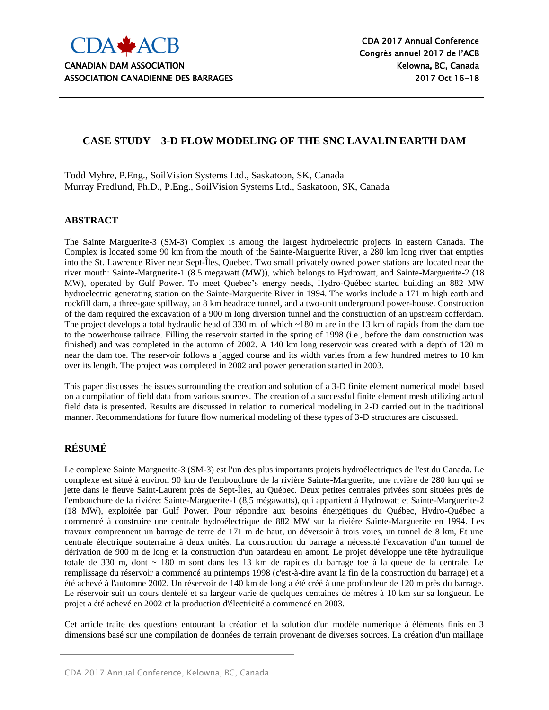

# **CASE STUDY – 3-D FLOW MODELING OF THE SNC LAVALIN EARTH DAM**

Todd Myhre, P.Eng., SoilVision Systems Ltd., Saskatoon, SK, Canada Murray Fredlund, Ph.D., P.Eng., SoilVision Systems Ltd., Saskatoon, SK, Canada

#### **ABSTRACT**

The Sainte Marguerite-3 (SM-3) Complex is among the largest hydroelectric projects in eastern Canada. The Complex is located some 90 km from the mouth of the Sainte-Marguerite River, a 280 km long river that empties into the St. Lawrence River near Sept-Îles, Quebec. Two small privately owned power stations are located near the river mouth: Sainte-Marguerite-1 (8.5 megawatt (MW)), which belongs to Hydrowatt, and Sainte-Marguerite-2 (18 MW), operated by Gulf Power. To meet Quebec's energy needs, Hydro-Québec started building an 882 MW hydroelectric generating station on the Sainte-Marguerite River in 1994. The works include a 171 m high earth and rockfill dam, a three-gate spillway, an 8 km headrace tunnel, and a two-unit underground power-house. Construction of the dam required the excavation of a 900 m long diversion tunnel and the construction of an upstream cofferdam. The project develops a total hydraulic head of 330 m, of which ~180 m are in the 13 km of rapids from the dam toe to the powerhouse tailrace. Filling the reservoir started in the spring of 1998 (i.e., before the dam construction was finished) and was completed in the autumn of 2002. A 140 km long reservoir was created with a depth of 120 m near the dam toe. The reservoir follows a jagged course and its width varies from a few hundred metres to 10 km over its length. The project was completed in 2002 and power generation started in 2003.

This paper discusses the issues surrounding the creation and solution of a 3-D finite element numerical model based on a compilation of field data from various sources. The creation of a successful finite element mesh utilizing actual field data is presented. Results are discussed in relation to numerical modeling in 2-D carried out in the traditional manner. Recommendations for future flow numerical modeling of these types of 3-D structures are discussed.

## **RÉSUMÉ**

Le complexe Sainte Marguerite-3 (SM-3) est l'un des plus importants projets hydroélectriques de l'est du Canada. Le complexe est situé à environ 90 km de l'embouchure de la rivière Sainte-Marguerite, une rivière de 280 km qui se jette dans le fleuve Saint-Laurent près de Sept-Îles, au Québec. Deux petites centrales privées sont situées près de l'embouchure de la rivière: Sainte-Marguerite-1 (8,5 mégawatts), qui appartient à Hydrowatt et Sainte-Marguerite-2 (18 MW), exploitée par Gulf Power. Pour répondre aux besoins énergétiques du Québec, Hydro-Québec a commencé à construire une centrale hydroélectrique de 882 MW sur la rivière Sainte-Marguerite en 1994. Les travaux comprennent un barrage de terre de 171 m de haut, un déversoir à trois voies, un tunnel de 8 km, Et une centrale électrique souterraine à deux unités. La construction du barrage a nécessité l'excavation d'un tunnel de dérivation de 900 m de long et la construction d'un batardeau en amont. Le projet développe une tête hydraulique totale de 330 m, dont ~ 180 m sont dans les 13 km de rapides du barrage toe à la queue de la centrale. Le remplissage du réservoir a commencé au printemps 1998 (c'est-à-dire avant la fin de la construction du barrage) et a été achevé à l'automne 2002. Un réservoir de 140 km de long a été créé à une profondeur de 120 m près du barrage. Le réservoir suit un cours dentelé et sa largeur varie de quelques centaines de mètres à 10 km sur sa longueur. Le projet a été achevé en 2002 et la production d'électricité a commencé en 2003.

Cet article traite des questions entourant la création et la solution d'un modèle numérique à éléments finis en 3 dimensions basé sur une compilation de données de terrain provenant de diverses sources. La création d'un maillage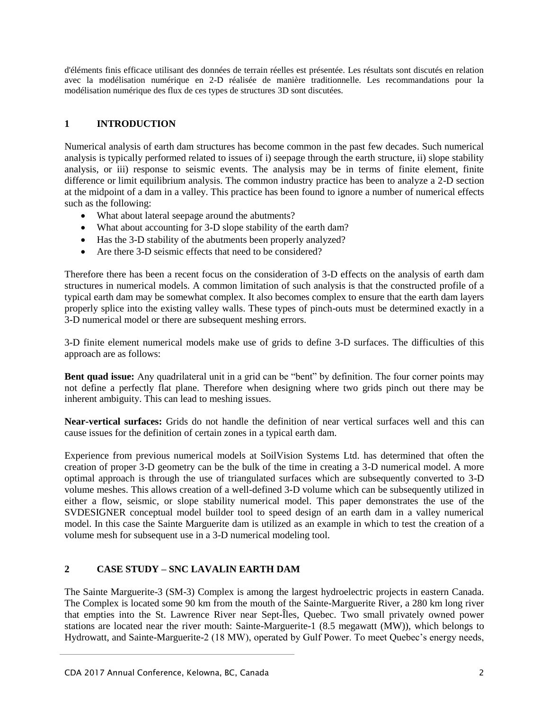d'éléments finis efficace utilisant des données de terrain réelles est présentée. Les résultats sont discutés en relation avec la modélisation numérique en 2-D réalisée de manière traditionnelle. Les recommandations pour la modélisation numérique des flux de ces types de structures 3D sont discutées.

# **1 INTRODUCTION**

Numerical analysis of earth dam structures has become common in the past few decades. Such numerical analysis is typically performed related to issues of i) seepage through the earth structure, ii) slope stability analysis, or iii) response to seismic events. The analysis may be in terms of finite element, finite difference or limit equilibrium analysis. The common industry practice has been to analyze a 2-D section at the midpoint of a dam in a valley. This practice has been found to ignore a number of numerical effects such as the following:

- What about lateral seepage around the abutments?
- What about accounting for 3-D slope stability of the earth dam?
- Has the 3-D stability of the abutments been properly analyzed?
- Are there 3-D seismic effects that need to be considered?

Therefore there has been a recent focus on the consideration of 3-D effects on the analysis of earth dam structures in numerical models. A common limitation of such analysis is that the constructed profile of a typical earth dam may be somewhat complex. It also becomes complex to ensure that the earth dam layers properly splice into the existing valley walls. These types of pinch-outs must be determined exactly in a 3-D numerical model or there are subsequent meshing errors.

3-D finite element numerical models make use of grids to define 3-D surfaces. The difficulties of this approach are as follows:

**Bent quad issue:** Any quadrilateral unit in a grid can be "bent" by definition. The four corner points may not define a perfectly flat plane. Therefore when designing where two grids pinch out there may be inherent ambiguity. This can lead to meshing issues.

**Near-vertical surfaces:** Grids do not handle the definition of near vertical surfaces well and this can cause issues for the definition of certain zones in a typical earth dam.

Experience from previous numerical models at SoilVision Systems Ltd. has determined that often the creation of proper 3-D geometry can be the bulk of the time in creating a 3-D numerical model. A more optimal approach is through the use of triangulated surfaces which are subsequently converted to 3-D volume meshes. This allows creation of a well-defined 3-D volume which can be subsequently utilized in either a flow, seismic, or slope stability numerical model. This paper demonstrates the use of the SVDESIGNER conceptual model builder tool to speed design of an earth dam in a valley numerical model. In this case the Sainte Marguerite dam is utilized as an example in which to test the creation of a volume mesh for subsequent use in a 3-D numerical modeling tool.

## **2 CASE STUDY – SNC LAVALIN EARTH DAM**

The Sainte Marguerite-3 (SM-3) Complex is among the largest hydroelectric projects in eastern Canada. The Complex is located some 90 km from the mouth of the Sainte-Marguerite River, a 280 km long river that empties into the St. Lawrence River near Sept-Îles, Quebec. Two small privately owned power stations are located near the river mouth: Sainte-Marguerite-1 (8.5 megawatt (MW)), which belongs to Hydrowatt, and Sainte-Marguerite-2 (18 MW), operated by Gulf Power. To meet Quebec's energy needs,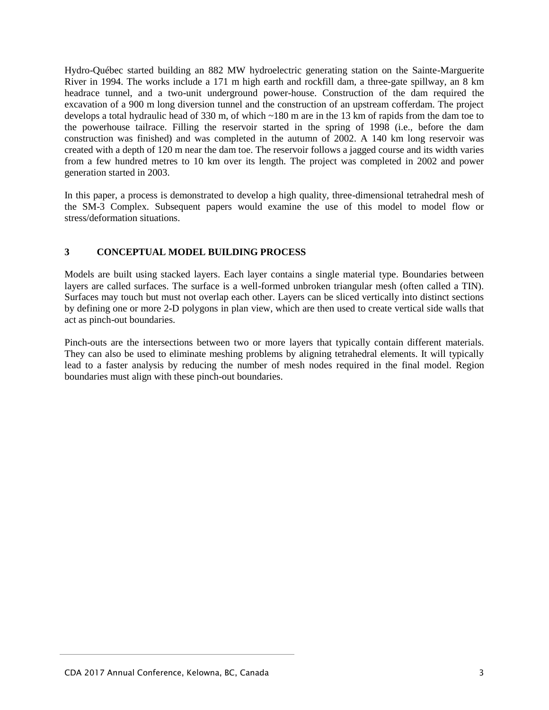Hydro-Québec started building an 882 MW hydroelectric generating station on the Sainte-Marguerite River in 1994. The works include a 171 m high earth and rockfill dam, a three-gate spillway, an 8 km headrace tunnel, and a two-unit underground power-house. Construction of the dam required the excavation of a 900 m long diversion tunnel and the construction of an upstream cofferdam. The project develops a total hydraulic head of 330 m, of which ~180 m are in the 13 km of rapids from the dam toe to the powerhouse tailrace. Filling the reservoir started in the spring of 1998 (i.e., before the dam construction was finished) and was completed in the autumn of 2002. A 140 km long reservoir was created with a depth of 120 m near the dam toe. The reservoir follows a jagged course and its width varies from a few hundred metres to 10 km over its length. The project was completed in 2002 and power generation started in 2003.

In this paper, a process is demonstrated to develop a high quality, three-dimensional tetrahedral mesh of the SM-3 Complex. Subsequent papers would examine the use of this model to model flow or stress/deformation situations.

#### **3 CONCEPTUAL MODEL BUILDING PROCESS**

Models are built using stacked layers. Each layer contains a single material type. Boundaries between layers are called surfaces. The surface is a well-formed unbroken triangular mesh (often called a TIN). Surfaces may touch but must not overlap each other. Layers can be sliced vertically into distinct sections by defining one or more 2-D polygons in plan view, which are then used to create vertical side walls that act as pinch-out boundaries.

Pinch-outs are the intersections between two or more layers that typically contain different materials. They can also be used to eliminate meshing problems by aligning tetrahedral elements. It will typically lead to a faster analysis by reducing the number of mesh nodes required in the final model. Region boundaries must align with these pinch-out boundaries.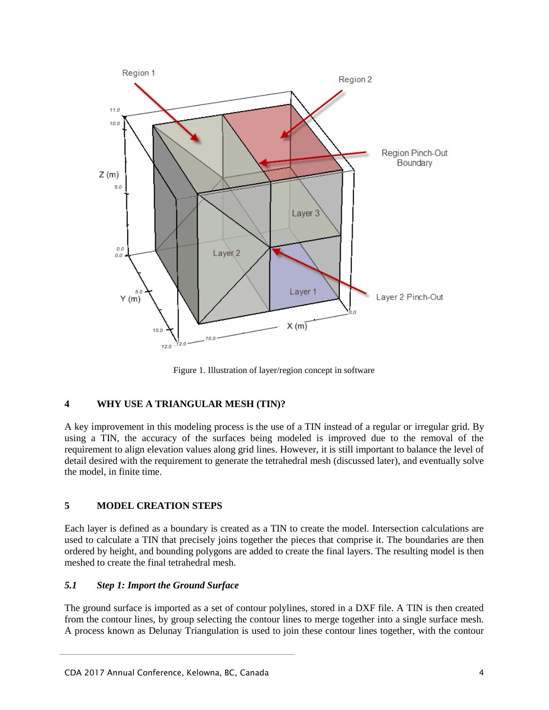

Figure 1. Illustration of layer/region concept in software

## **4 WHY USE A TRIANGULAR MESH (TIN)?**

A key improvement in this modeling process is the use of a TIN instead of a regular or irregular grid. By using a TIN, the accuracy of the surfaces being modeled is improved due to the removal of the requirement to align elevation values along grid lines. However, it is still important to balance the level of detail desired with the requirement to generate the tetrahedral mesh (discussed later), and eventually solve the model, in finite time.

## **5 MODEL CREATION STEPS**

Each layer is defined as a boundary is created as a TIN to create the model. Intersection calculations are used to calculate a TIN that precisely joins together the pieces that comprise it. The boundaries are then ordered by height, and bounding polygons are added to create the final layers. The resulting model is then meshed to create the final tetrahedral mesh.

## *5.1 Step 1: Import the Ground Surface*

The ground surface is imported as a set of contour polylines, stored in a DXF file. A TIN is then created from the contour lines, by group selecting the contour lines to merge together into a single surface mesh. A process known as Delunay Triangulation is used to join these contour lines together, with the contour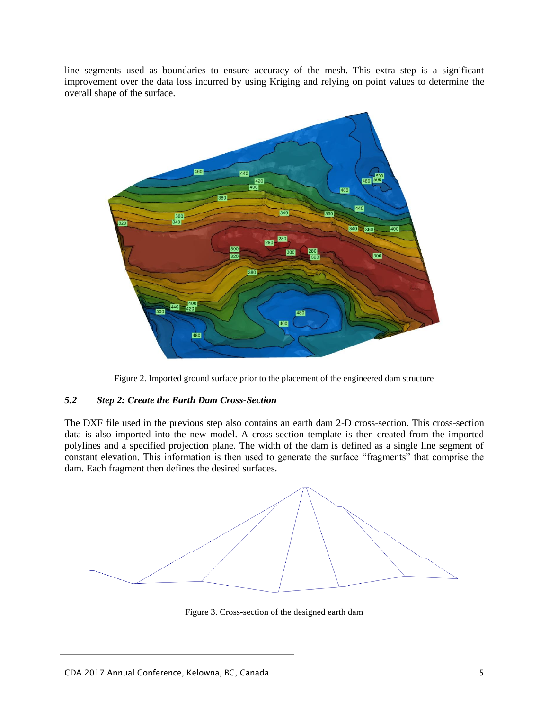line segments used as boundaries to ensure accuracy of the mesh. This extra step is a significant improvement over the data loss incurred by using Kriging and relying on point values to determine the overall shape of the surface.



Figure 2. Imported ground surface prior to the placement of the engineered dam structure

#### *5.2 Step 2: Create the Earth Dam Cross-Section*

The DXF file used in the previous step also contains an earth dam 2-D cross-section. This cross-section data is also imported into the new model. A cross-section template is then created from the imported polylines and a specified projection plane. The width of the dam is defined as a single line segment of constant elevation. This information is then used to generate the surface "fragments" that comprise the dam. Each fragment then defines the desired surfaces.



Figure 3. Cross-section of the designed earth dam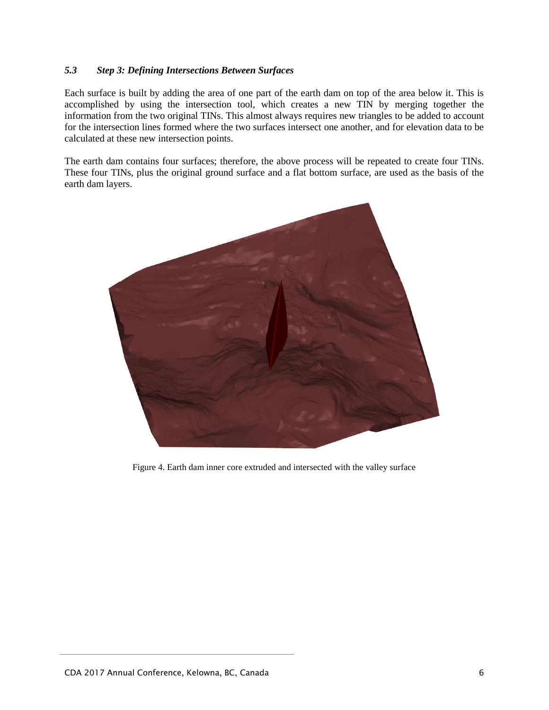#### *5.3 Step 3: Defining Intersections Between Surfaces*

Each surface is built by adding the area of one part of the earth dam on top of the area below it. This is accomplished by using the intersection tool, which creates a new TIN by merging together the information from the two original TINs. This almost always requires new triangles to be added to account for the intersection lines formed where the two surfaces intersect one another, and for elevation data to be calculated at these new intersection points.

The earth dam contains four surfaces; therefore, the above process will be repeated to create four TINs. These four TINs, plus the original ground surface and a flat bottom surface, are used as the basis of the earth dam layers.



Figure 4. Earth dam inner core extruded and intersected with the valley surface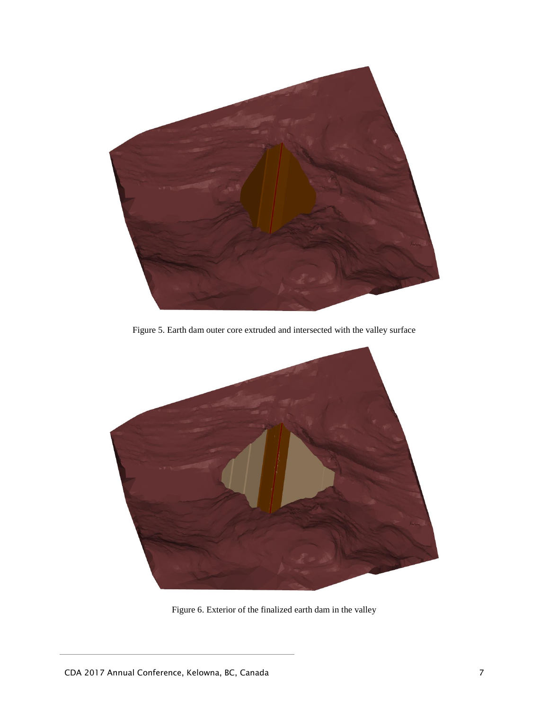

Figure 5. Earth dam outer core extruded and intersected with the valley surface



Figure 6. Exterior of the finalized earth dam in the valley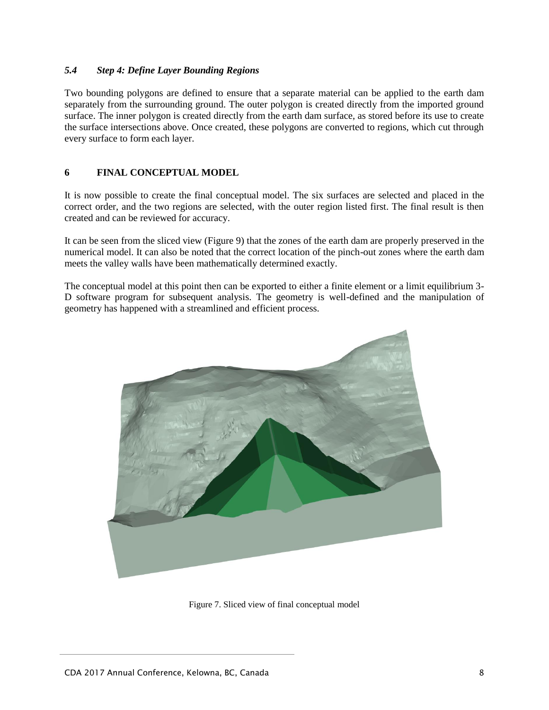#### *5.4 Step 4: Define Layer Bounding Regions*

Two bounding polygons are defined to ensure that a separate material can be applied to the earth dam separately from the surrounding ground. The outer polygon is created directly from the imported ground surface. The inner polygon is created directly from the earth dam surface, as stored before its use to create the surface intersections above. Once created, these polygons are converted to regions, which cut through every surface to form each layer.

## **6 FINAL CONCEPTUAL MODEL**

It is now possible to create the final conceptual model. The six surfaces are selected and placed in the correct order, and the two regions are selected, with the outer region listed first. The final result is then created and can be reviewed for accuracy.

It can be seen from the sliced view (Figure 9) that the zones of the earth dam are properly preserved in the numerical model. It can also be noted that the correct location of the pinch-out zones where the earth dam meets the valley walls have been mathematically determined exactly.

The conceptual model at this point then can be exported to either a finite element or a limit equilibrium 3- D software program for subsequent analysis. The geometry is well-defined and the manipulation of geometry has happened with a streamlined and efficient process.



Figure 7. Sliced view of final conceptual model